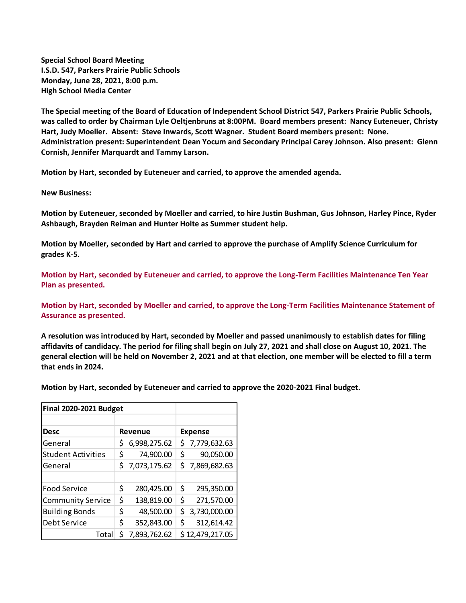**Special School Board Meeting I.S.D. 547, Parkers Prairie Public Schools Monday, June 28, 2021, 8:00 p.m. High School Media Center**

**The Special meeting of the Board of Education of Independent School District 547, Parkers Prairie Public Schools, was called to order by Chairman Lyle Oeltjenbruns at 8:00PM. Board members present: Nancy Euteneuer, Christy Hart, Judy Moeller. Absent: Steve Inwards, Scott Wagner. Student Board members present: None. Administration present: Superintendent Dean Yocum and Secondary Principal Carey Johnson. Also present: Glenn Cornish, Jennifer Marquardt and Tammy Larson.**

**Motion by Hart, seconded by Euteneuer and carried, to approve the amended agenda.**

**New Business:**

**Motion by Euteneuer, seconded by Moeller and carried, to hire Justin Bushman, Gus Johnson, Harley Pince, Ryder Ashbaugh, Brayden Reiman and Hunter Holte as Summer student help.**

**Motion by Moeller, seconded by Hart and carried to approve the purchase of Amplify Science Curriculum for grades K-5.**

**Motion by Hart, seconded by Euteneuer and carried, to approve the Long-Term Facilities Maintenance Ten Year Plan as presented.**

**Motion by Hart, seconded by Moeller and carried, to approve the Long-Term Facilities Maintenance Statement of Assurance as presented.**

**A resolution was introduced by Hart, seconded by Moeller and passed unanimously to establish dates for filing affidavits of candidacy. The period for filing shall begin on July 27, 2021 and shall close on August 10, 2021. The general election will be held on November 2, 2021 and at that election, one member will be elected to fill a term that ends in 2024.**

**Motion by Hart, seconded by Euteneuer and carried to approve the 2020-2021 Final budget.**

| <b>Final 2020-2021 Budget</b> |         |              |                |                 |
|-------------------------------|---------|--------------|----------------|-----------------|
|                               |         |              |                |                 |
| <b>Desc</b>                   | Revenue |              | <b>Expense</b> |                 |
| General                       | Ś       | 6,998,275.62 | S.             | 7,779,632.63    |
| <b>Student Activities</b>     | \$      | 74,900.00    | Ś              | 90,050.00       |
| General                       | Ś.      | 7,073,175.62 | S.             | 7,869,682.63    |
|                               |         |              |                |                 |
| <b>Food Service</b>           | \$      | 280,425.00   | \$             | 295,350.00      |
| <b>Community Service</b>      | \$      | 138,819.00   | \$             | 271,570.00      |
| <b>Building Bonds</b>         | \$      | 48,500.00    | \$.            | 3,730,000.00    |
| Debt Service                  | \$      | 352,843.00   | \$             | 312,614.42      |
| Total                         | Ś       | 7,893,762.62 |                | \$12,479,217.05 |